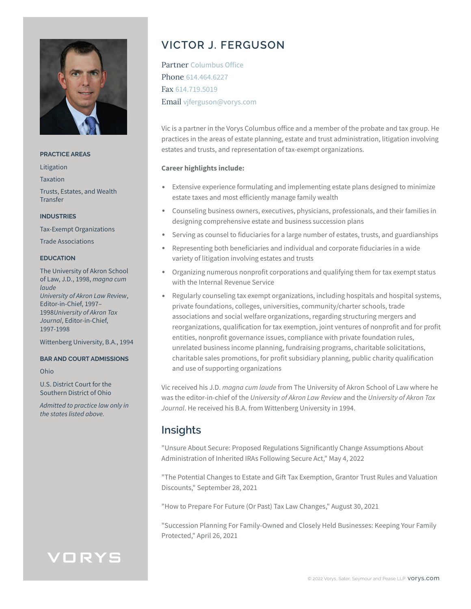

### **PRACTICE AREAS**

Litigation

Taxation

Trusts, Estates, and Wealth Transfer

### **INDUSTRIES**

Tax-Exempt Organizations

Trade Associations

### **EDUCATION**

The University of Akron School of Law, J.D., 1998, *magna cum laude University of Akron Law Review*, Editor-in-Chief, 1997– 1998*University of Akron Tax Journal*, Editor-in-Chief, 1997-1998

Wittenberg University, B.A., 1994

### **BAR AND COURT ADMISSIONS**

Ohio

U.S. District Court for the Southern District of Ohio

*Admitted to practice law only in the states listed above.*

# **VICTOR J. FERGUSON**

Partner Columbus Office Phone 614.464.6227 Fax 614.719.5019 Email vjferguson@vorys.com

Vic is a partner in the Vorys Columbus office and a member of the probate and tax group. He practices in the areas of estate planning, estate and trust administration, litigation involving estates and trusts, and representation of tax-exempt organizations.

### **Career highlights include:**

- Extensive experience formulating and implementing estate plans designed to minimize estate taxes and most efficiently manage family wealth
- Counseling business owners, executives, physicians, professionals, and their families in designing comprehensive estate and business succession plans
- Serving as counsel to fiduciaries for a large number of estates, trusts, and guardianships
- Representing both beneficiaries and individual and corporate fiduciaries in a wide variety of litigation involving estates and trusts
- Organizing numerous nonprofit corporations and qualifying them for tax exempt status with the Internal Revenue Service
- Regularly counseling tax exempt organizations, including hospitals and hospital systems, private foundations, colleges, universities, community/charter schools, trade associations and social welfare organizations, regarding structuring mergers and reorganizations, qualification for tax exemption, joint ventures of nonprofit and for profit entities, nonprofit governance issues, compliance with private foundation rules, unrelated business income planning, fundraising programs, charitable solicitations, charitable sales promotions, for profit subsidiary planning, public charity qualification and use of supporting organizations

Vic received his J.D. *magna cum laude* from The University of Akron School of Law where he was the editor-in-chief of the *University of Akron Law Review* and the *University of Akron Tax Journal*. He received his B.A. from Wittenberg University in 1994.

# **Insights**

"Unsure About Secure: Proposed Regulations Significantly Change Assumptions About Administration of Inherited IRAs Following Secure Act," May 4, 2022

"The Potential Changes to Estate and Gift Tax Exemption, Grantor Trust Rules and Valuation Discounts," September 28, 2021

"How to Prepare For Future (Or Past) Tax Law Changes," August 30, 2021

"Succession Planning For Family-Owned and Closely Held Businesses: Keeping Your Family Protected," April 26, 2021

# VORYS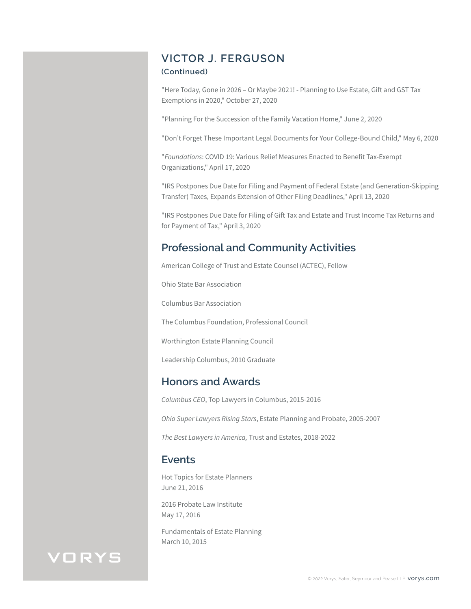# **VICTOR J. FERGUSON**

### **(Continued)**

"Here Today, Gone in 2026 – Or Maybe 2021! - Planning to Use Estate, Gift and GST Tax Exemptions in 2020," October 27, 2020

"Planning For the Succession of the Family Vacation Home," June 2, 2020

"Don't Forget These Important Legal Documents for Your College-Bound Child," May 6, 2020

"*Foundations*: COVID 19: Various Relief Measures Enacted to Benefit Tax-Exempt Organizations," April 17, 2020

"IRS Postpones Due Date for Filing and Payment of Federal Estate (and Generation-Skipping Transfer) Taxes, Expands Extension of Other Filing Deadlines," April 13, 2020

"IRS Postpones Due Date for Filing of Gift Tax and Estate and Trust Income Tax Returns and for Payment of Tax," April 3, 2020

# **Professional and Community Activities**

American College of Trust and Estate Counsel (ACTEC), Fellow

Ohio State Bar Association

Columbus Bar Association

The Columbus Foundation, Professional Council

Worthington Estate Planning Council

Leadership Columbus, 2010 Graduate

## **Honors and Awards**

*Columbus CEO*, Top Lawyers in Columbus, 2015-2016

*Ohio Super Lawyers Rising Stars*, Estate Planning and Probate, 2005-2007

*The Best Lawyers in America,* Trust and Estates, 2018-2022

## **Events**

Hot Topics for Estate Planners June 21, 2016

2016 Probate Law Institute May 17, 2016

Fundamentals of Estate Planning March 10, 2015